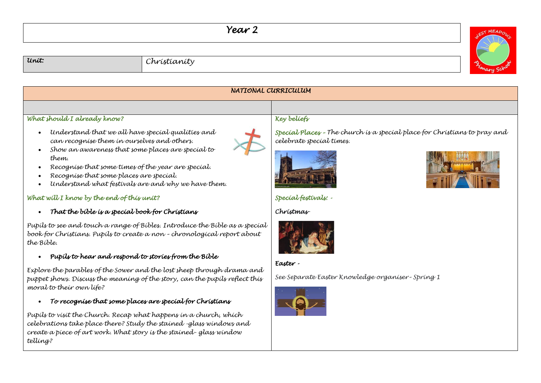## *Year 2*



## *Unit: Christianity*

| NATIONAL CURRICULUM                                                                                                                                                                                                                                                                                                    |                                                                                                       |  |  |
|------------------------------------------------------------------------------------------------------------------------------------------------------------------------------------------------------------------------------------------------------------------------------------------------------------------------|-------------------------------------------------------------------------------------------------------|--|--|
|                                                                                                                                                                                                                                                                                                                        |                                                                                                       |  |  |
| What should I already know?                                                                                                                                                                                                                                                                                            | Key beliefs                                                                                           |  |  |
| Understand that we all have special qualities and<br>can recognise them in ourselves and others.<br>Show an awareness that some places are special to<br>them.<br>Recognise that some times of the year are special.<br>Recognise that some places are special.<br>Understand what festivals are and why we have them. | Specíal Places - The church is a special place for Christians to pray and<br>celebrate special times. |  |  |
| What will I know by the end of this unit?                                                                                                                                                                                                                                                                              | Special festivals: -                                                                                  |  |  |
| That the bible is a special book for Christians<br>$\bullet$                                                                                                                                                                                                                                                           | Christmas                                                                                             |  |  |
| Pupils to see and touch a range of Bibles. Introduce the Bible as a special<br>book for Christians. Pupils to create a non - chronological report about<br>the Bible.                                                                                                                                                  |                                                                                                       |  |  |
| Pupils to hear and respond to stories from the Bible<br>$\bullet$                                                                                                                                                                                                                                                      | Easter -                                                                                              |  |  |
| Explore the parables of the Sower and the lost sheep through drama and<br>puppet shows. Discuss the meaning of the story, can the pupils reflect this<br>moral to their own life?                                                                                                                                      | See Separate Easter Knowledge organiser-Spring 1                                                      |  |  |
| To recognise that some places are special for Christians<br>$\bullet$                                                                                                                                                                                                                                                  |                                                                                                       |  |  |
| Pupils to visit the Church. Recap what happens in a church, which                                                                                                                                                                                                                                                      |                                                                                                       |  |  |

*celebrations take place there? Study the stained -glass windows and create a piece of art work. What story is the stained- glass window telling?*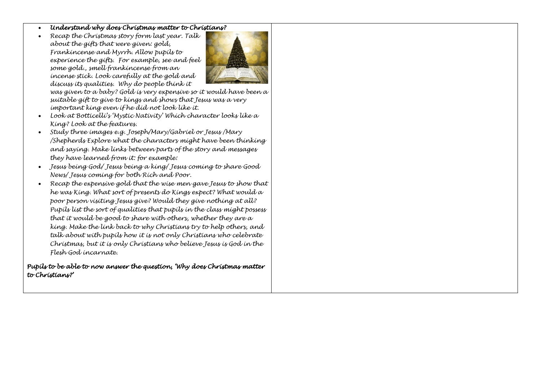- *Understand why does Christmas matter to Christians?*
- *Recap the Christmas story form last year. Talk about the gifts that were given: gold, Frankincense and Myrrh. Allow pupils to experience the gifts. For example, see and feel some gold., smell frankincense from an incense stick. Look carefully at the gold and discuss its qualities. Why do people think it*



*was given to a baby? Gold is very expensive so it would have been a suitable gift to give to kings and shows that Jesus was a very important king even if he did not look like it.*

- *Look at Botticelli's 'Mystic Nativity' Which character looks like a King? Look at the features.*
- *Study three images e.g. Joseph/Mary/Gabriel or Jesus /Mary /Shepherds Explore what the characters might have been thinking and saying. Make links between parts of the story and messages they have learned from it: for example:*
- *Jesus being God/ Jesus being a king/ Jesus coming to share Good News/ Jesus coming for both Rich and Poor.*
- *Recap the expensive gold that the wise men gave Jesus to show that he was King. What sort of presents do Kings expect? What would a poor person visiting Jesus give? Would they give nothing at all? Pupils list the sort of qualities that pupils in the class might possess that it would be good to share with others, whether they are a king. Make the link back to why Christians try to help others, and talk about with pupils how it is not only Christians who celebrate Christmas, but it is only Christians who believe Jesus is God in the Flesh God incarnate.*

*Pupils to be able to now answer the question, 'Why does Christmas matter to Christians?'*